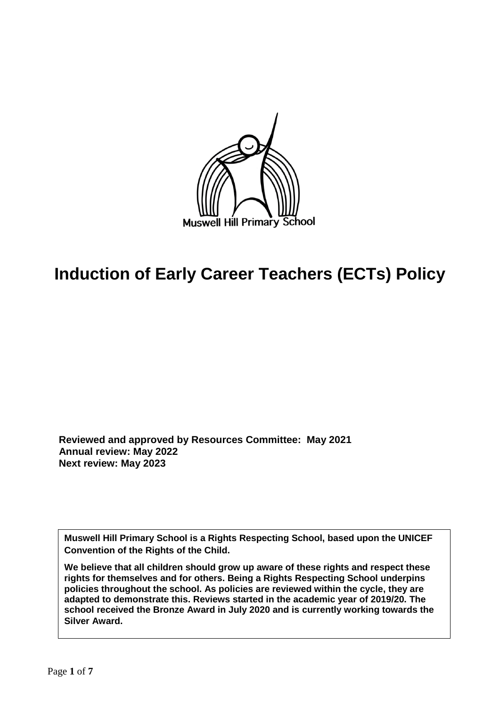

# **Induction of Early Career Teachers (ECTs) Policy**

 **Reviewed and approved by Resources Committee: May 2021 Annual review: May 2022 Next review: May 2023**

**Muswell Hill Primary School is a Rights Respecting School, based upon the UNICEF Convention of the Rights of the Child.** 

**We believe that all children should grow up aware of these rights and respect these rights for themselves and for others. Being a Rights Respecting School underpins policies throughout the school. As policies are reviewed within the cycle, they are adapted to demonstrate this. Reviews started in the academic year of 2019/20. The school received the Bronze Award in July 2020 and is currently working towards the Silver Award.**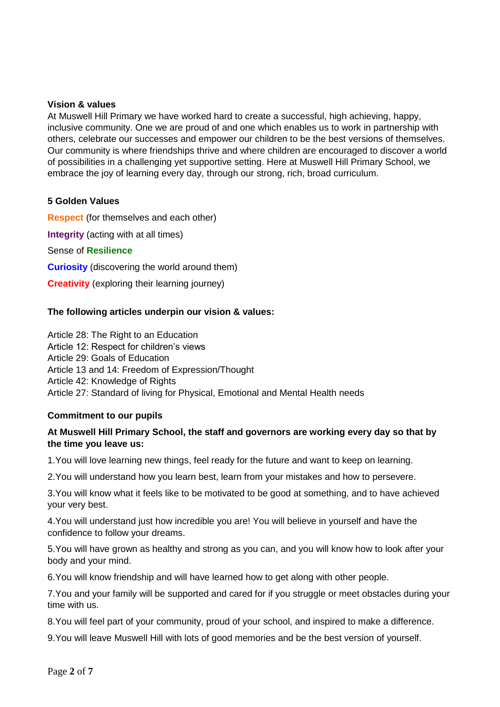#### **Vision & values**

At Muswell Hill Primary we have worked hard to create a successful, high achieving, happy, inclusive community. One we are proud of and one which enables us to work in partnership with others, celebrate our successes and empower our children to be the best versions of themselves. Our community is where friendships thrive and where children are encouraged to discover a world of possibilities in a challenging yet supportive setting. Here at Muswell Hill Primary School, we embrace the joy of learning every day, through our strong, rich, broad curriculum.

#### **5 Golden Values**

**Respect** (for themselves and each other) **Integrity** (acting with at all times) Sense of **Resilience Curiosity** (discovering the world around them) **Creativity** (exploring their learning journey)

#### **The following articles underpin our vision & values:**

Article 28: The Right to an Education Article 12: Respect for children's views Article 29: Goals of Education Article 13 and 14: Freedom of Expression/Thought Article 42: Knowledge of Rights Article 27: Standard of living for Physical, Emotional and Mental Health needs

#### **Commitment to our pupils**

#### **At Muswell Hill Primary School, the staff and governors are working every day so that by the time you leave us:**

1.You will love learning new things, feel ready for the future and want to keep on learning.

2.You will understand how you learn best, learn from your mistakes and how to persevere.

3.You will know what it feels like to be motivated to be good at something, and to have achieved your very best.

4.You will understand just how incredible you are! You will believe in yourself and have the confidence to follow your dreams.

5.You will have grown as healthy and strong as you can, and you will know how to look after your body and your mind.

6.You will know friendship and will have learned how to get along with other people.

7.You and your family will be supported and cared for if you struggle or meet obstacles during your time with us.

8.You will feel part of your community, proud of your school, and inspired to make a difference.

9.You will leave Muswell Hill with lots of good memories and be the best version of yourself.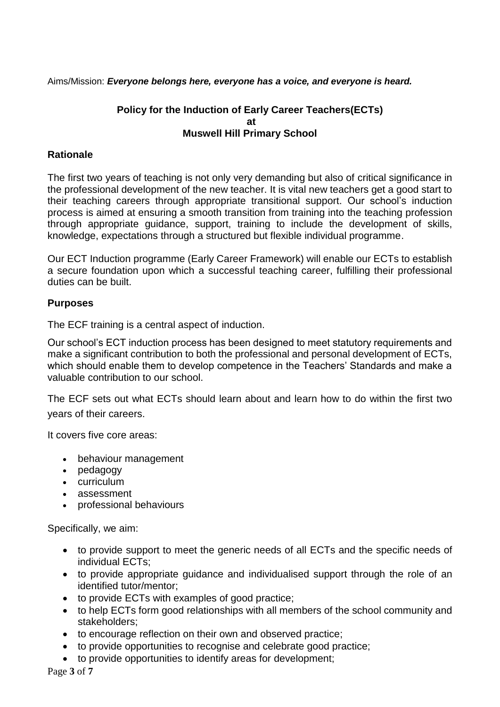Aims/Mission: *Everyone belongs here, everyone has a voice, and everyone is heard.*

## **Policy for the Induction of Early Career Teachers(ECTs) at Muswell Hill Primary School**

# **Rationale**

The first two years of teaching is not only very demanding but also of critical significance in the professional development of the new teacher. It is vital new teachers get a good start to their teaching careers through appropriate transitional support. Our school's induction process is aimed at ensuring a smooth transition from training into the teaching profession through appropriate guidance, support, training to include the development of skills, knowledge, expectations through a structured but flexible individual programme.

Our ECT Induction programme (Early Career Framework) will enable our ECTs to establish a secure foundation upon which a successful teaching career, fulfilling their professional duties can be built.

## **Purposes**

The ECF training is a central aspect of induction.

Our school's ECT induction process has been designed to meet statutory requirements and make a significant contribution to both the professional and personal development of ECTs, which should enable them to develop competence in the Teachers' Standards and make a valuable contribution to our school.

The ECF sets out what ECTs should learn about and learn how to do within the first two years of their careers.

It covers five core areas:

- behaviour management
- pedagogy
- curriculum
- assessment
- professional behaviours

Specifically, we aim:

- to provide support to meet the generic needs of all ECTs and the specific needs of individual ECTs;
- to provide appropriate guidance and individualised support through the role of an identified tutor/mentor;
- to provide ECTs with examples of good practice;
- to help ECTs form good relationships with all members of the school community and stakeholders;
- to encourage reflection on their own and observed practice;
- to provide opportunities to recognise and celebrate good practice;
- to provide opportunities to identify areas for development;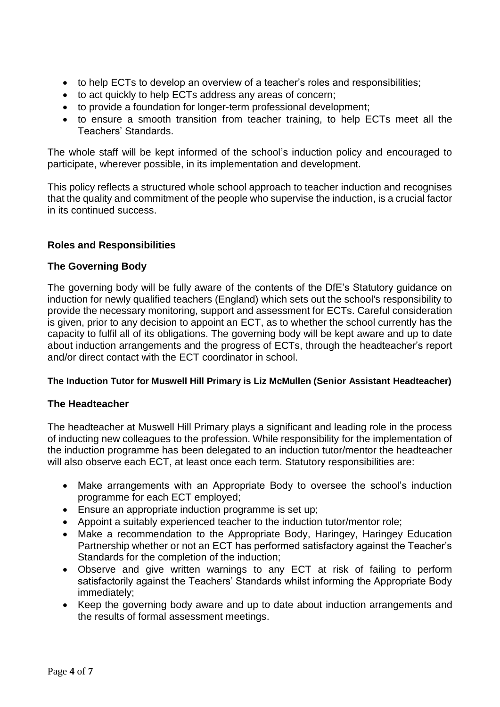- to help ECTs to develop an overview of a teacher's roles and responsibilities;
- to act quickly to help ECTs address any areas of concern;
- to provide a foundation for longer-term professional development;
- to ensure a smooth transition from teacher training, to help ECTs meet all the Teachers' Standards.

The whole staff will be kept informed of the school's induction policy and encouraged to participate, wherever possible, in its implementation and development.

This policy reflects a structured whole school approach to teacher induction and recognises that the quality and commitment of the people who supervise the induction, is a crucial factor in its continued success.

# **Roles and Responsibilities**

## **The Governing Body**

The governing body will be fully aware of the contents of the DfE's Statutory guidance on induction for newly qualified teachers (England) which sets out the school's responsibility to provide the necessary monitoring, support and assessment for ECTs. Careful consideration is given, prior to any decision to appoint an ECT, as to whether the school currently has the capacity to fulfil all of its obligations. The governing body will be kept aware and up to date about induction arrangements and the progress of ECTs, through the headteacher's report and/or direct contact with the ECT coordinator in school.

## **The Induction Tutor for Muswell Hill Primary is Liz McMullen (Senior Assistant Headteacher)**

## **The Headteacher**

The headteacher at Muswell Hill Primary plays a significant and leading role in the process of inducting new colleagues to the profession. While responsibility for the implementation of the induction programme has been delegated to an induction tutor/mentor the headteacher will also observe each ECT, at least once each term. Statutory responsibilities are:

- Make arrangements with an Appropriate Body to oversee the school's induction programme for each ECT employed;
- Ensure an appropriate induction programme is set up;
- Appoint a suitably experienced teacher to the induction tutor/mentor role;
- Make a recommendation to the Appropriate Body, Haringey, Haringey Education Partnership whether or not an ECT has performed satisfactory against the Teacher's Standards for the completion of the induction;
- Observe and give written warnings to any ECT at risk of failing to perform satisfactorily against the Teachers' Standards whilst informing the Appropriate Body immediately;
- Keep the governing body aware and up to date about induction arrangements and the results of formal assessment meetings.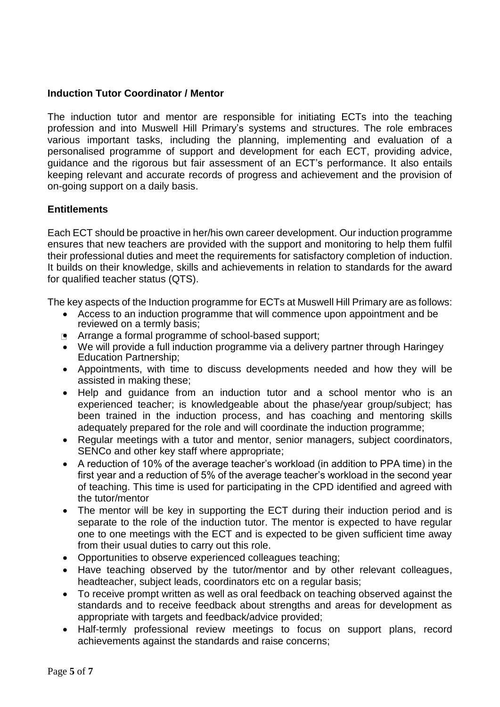## **Induction Tutor Coordinator / Mentor**

The induction tutor and mentor are responsible for initiating ECTs into the teaching profession and into Muswell Hill Primary's systems and structures. The role embraces various important tasks, including the planning, implementing and evaluation of a personalised programme of support and development for each ECT, providing advice, guidance and the rigorous but fair assessment of an ECT's performance. It also entails keeping relevant and accurate records of progress and achievement and the provision of on-going support on a daily basis.

# **Entitlements**

Each ECT should be proactive in her/his own career development. Our induction programme ensures that new teachers are provided with the support and monitoring to help them fulfil their professional duties and meet the requirements for satisfactory completion of induction. It builds on their knowledge, skills and achievements in relation to standards for the award for qualified teacher status (QTS).

The key aspects of the Induction programme for ECTs at Muswell Hill Primary are as follows:

- Access to an induction programme that will commence upon appointment and be reviewed on a termly basis;
- **Arrange a formal programme of school-based support;**
- We will provide a full induction programme via a delivery partner through Haringey Education Partnership;
- Appointments, with time to discuss developments needed and how they will be assisted in making these;
- Help and quidance from an induction tutor and a school mentor who is an experienced teacher; is knowledgeable about the phase/year group/subject; has been trained in the induction process, and has coaching and mentoring skills adequately prepared for the role and will coordinate the induction programme;
- Regular meetings with a tutor and mentor, senior managers, subject coordinators, SENCo and other key staff where appropriate;
- A reduction of 10% of the average teacher's workload (in addition to PPA time) in the first year and a reduction of 5% of the average teacher's workload in the second year of teaching. This time is used for participating in the CPD identified and agreed with the tutor/mentor
- The mentor will be key in supporting the ECT during their induction period and is separate to the role of the induction tutor. The mentor is expected to have regular one to one meetings with the ECT and is expected to be given sufficient time away from their usual duties to carry out this role.
- Opportunities to observe experienced colleagues teaching;
- Have teaching observed by the tutor/mentor and by other relevant colleagues, headteacher, subject leads, coordinators etc on a regular basis;
- To receive prompt written as well as oral feedback on teaching observed against the standards and to receive feedback about strengths and areas for development as appropriate with targets and feedback/advice provided;
- Half-termly professional review meetings to focus on support plans, record achievements against the standards and raise concerns;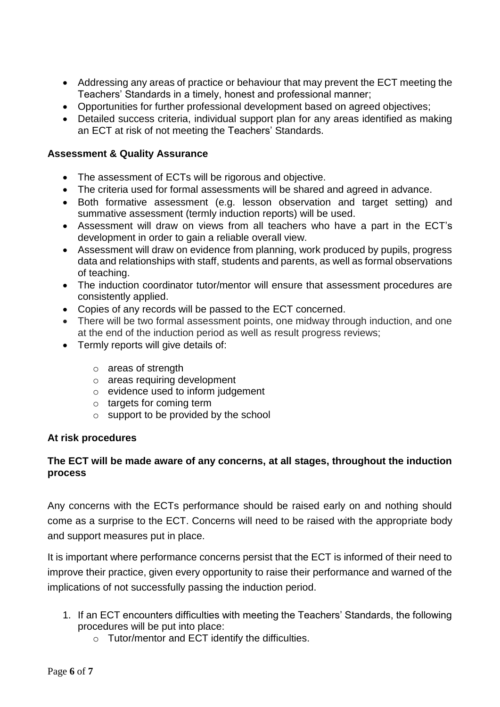- Addressing any areas of practice or behaviour that may prevent the ECT meeting the Teachers' Standards in a timely, honest and professional manner;
- Opportunities for further professional development based on agreed objectives;
- Detailed success criteria, individual support plan for any areas identified as making an ECT at risk of not meeting the Teachers' Standards.

# **Assessment & Quality Assurance**

- The assessment of ECTs will be rigorous and objective.
- The criteria used for formal assessments will be shared and agreed in advance.
- Both formative assessment (e.g. lesson observation and target setting) and summative assessment (termly induction reports) will be used.
- Assessment will draw on views from all teachers who have a part in the ECT's development in order to gain a reliable overall view.
- Assessment will draw on evidence from planning, work produced by pupils, progress data and relationships with staff, students and parents, as well as formal observations of teaching.
- The induction coordinator tutor/mentor will ensure that assessment procedures are consistently applied.
- Copies of any records will be passed to the ECT concerned.
- There will be two formal assessment points, one midway through induction, and one at the end of the induction period as well as result progress reviews;
- Termly reports will give details of:
	- o areas of strength
	- o areas requiring development
	- o evidence used to inform judgement
	- o targets for coming term
	- o support to be provided by the school

## **At risk procedures**

# **The ECT will be made aware of any concerns, at all stages, throughout the induction process**

Any concerns with the ECTs performance should be raised early on and nothing should come as a surprise to the ECT. Concerns will need to be raised with the appropriate body and support measures put in place.

It is important where performance concerns persist that the ECT is informed of their need to improve their practice, given every opportunity to raise their performance and warned of the implications of not successfully passing the induction period.

- 1. If an ECT encounters difficulties with meeting the Teachers' Standards, the following procedures will be put into place:
	- o Tutor/mentor and ECT identify the difficulties.